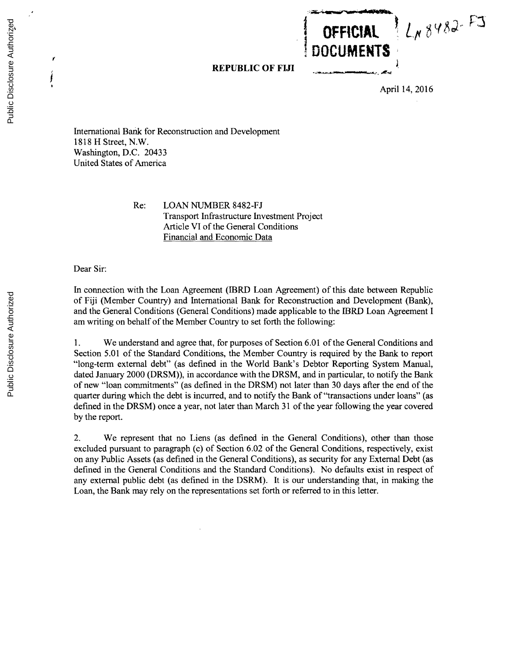**REPUBLIC OF FIJI**

April 14, **2016**

LN 8482-FJ

**OFFICIAL**

**DOCUMENTS**

International Bank for Reconstruction and Development **1818** H Street, N.W. Washington, **D.C.** 20433 United States of America

> Re: **LOAN NUMBER 8482-FJ** Transport Infrastructure Investment Project Article VI of the General Conditions Financial and Economic Data

Dear Sir:

In connection with the Loan Agreement (IBRD Loan Agreement) of this date between Republic of **Fiji** (Member Country) and International Bank for Reconstruction and Development (Bank), and the General Conditions (General Conditions) made applicable to the IBRD Loan Agreement **I** am writing on behalf of the Member Country to set forth the following:

**1.** We understand and agree that, for purposes of Section **6.01** of the General Conditions and Section **5.01** of the Standard Conditions, the Member Country is required **by** the Bank to report "long-term external debt" (as defined in the World Bank's Debtor Reporting System Manual, dated January 2000 (DRSM)), in accordance with the DRSM, and in particular, to notify the Bank of new "loan commitments" (as defined in the DRSM) not later than **30** days after the end of the quarter during which the debt is incurred, and to notify the Bank of "transactions under loans" (as defined in the DRSM) once a year, not later than March **31** of the year following the year covered **by** the report.

2. We represent that no Liens (as defined in the General Conditions), other than those excluded pursuant to paragraph **(c)** of Section **6.02** of the General Conditions, respectively, exist on any Public Assets (as defined in the General Conditions), as security for any External Debt (as defined in the General Conditions and the Standard Conditions). No defaults exist in respect of any external public debt (as defined in the DSRM). It is our understanding that, in making the Loan, the Bank may rely on the representations set forth or referred to in this letter.